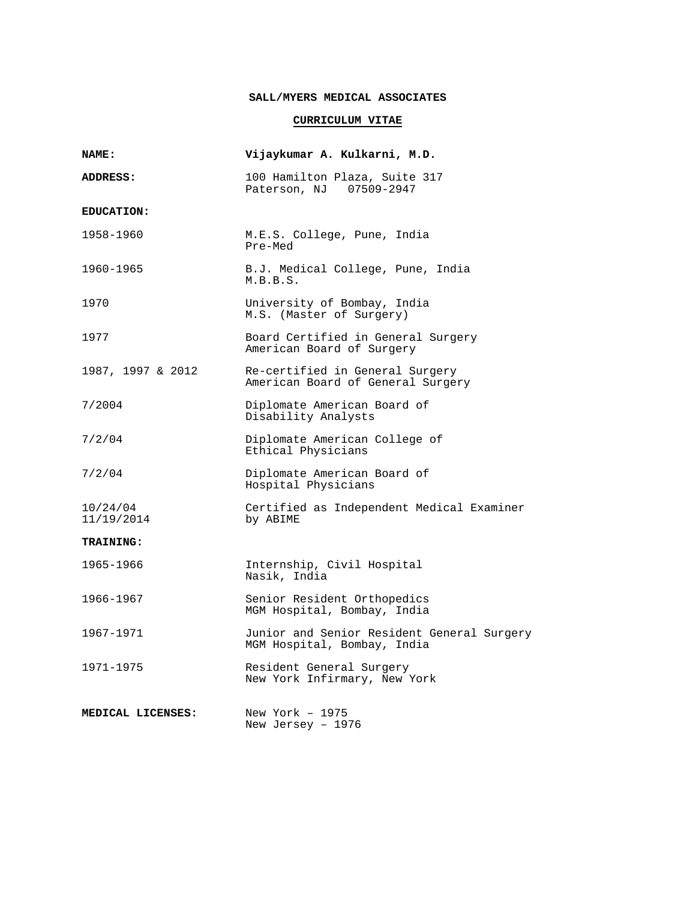## **SALL/MYERS MEDICAL ASSOCIATES**

## **CURRICULUM VITAE**

| NAME:                  | Vijaykumar A. Kulkarni, M.D.                                              |
|------------------------|---------------------------------------------------------------------------|
| ADDRESS:               | 100 Hamilton Plaza, Suite 317<br>Paterson, NJ 07509-2947                  |
| <b>EDUCATION:</b>      |                                                                           |
| 1958-1960              | M.E.S. College, Pune, India<br>Pre-Med                                    |
| 1960-1965              | B.J. Medical College, Pune, India<br>M.B.B.S.                             |
| 1970                   | University of Bombay, India<br>M.S. (Master of Surgery)                   |
| 1977                   | Board Certified in General Surgery<br>American Board of Surgery           |
| 1987, 1997 & 2012      | Re-certified in General Surgery<br>American Board of General Surgery      |
| 7/2004                 | Diplomate American Board of<br>Disability Analysts                        |
| 7/2/04                 | Diplomate American College of<br>Ethical Physicians                       |
| 7/2/04                 | Diplomate American Board of<br>Hospital Physicians                        |
| 10/24/04<br>11/19/2014 | Certified as Independent Medical Examiner<br>by ABIME                     |
| <b>TRAINING:</b>       |                                                                           |
| 1965-1966              | Internship, Civil Hospital<br>Nasik, India                                |
| 1966-1967              | Senior Resident Orthopedics<br>MGM Hospital, Bombay, India                |
| 1967-1971              | Junior and Senior Resident General Surgery<br>MGM Hospital, Bombay, India |
| 1971-1975              | Resident General Surgery<br>New York Infirmary, New York                  |
| MEDICAL LICENSES:      | New York $-1975$<br>New Jersey - 1976                                     |